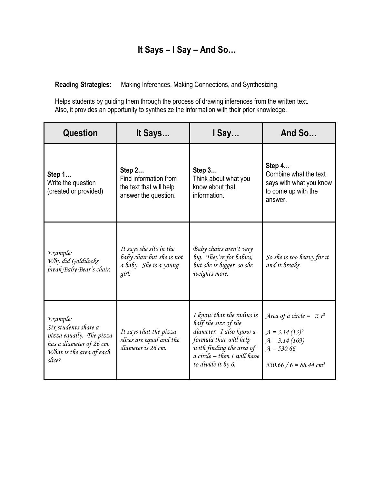## **It Says – I Say – And So…**

**Reading Strategies:** Making Inferences, Making Connections, and Synthesizing.

Helps students by guiding them through the process of drawing inferences from the written text. Also, it provides an opportunity to synthesize the information with their prior knowledge.

| <b>Question</b>                                                                                                                | It Says                                                                                 | I Say                                                                                                                                                                                       | And So                                                                                                                      |
|--------------------------------------------------------------------------------------------------------------------------------|-----------------------------------------------------------------------------------------|---------------------------------------------------------------------------------------------------------------------------------------------------------------------------------------------|-----------------------------------------------------------------------------------------------------------------------------|
| Step 1<br>Write the question<br>(created or provided)                                                                          | Step 2<br>Find information from<br>the text that will help<br>answer the question.      | Step 3<br>Think about what you<br>know about that<br>information.                                                                                                                           | Step 4<br>Combine what the text<br>says with what you know<br>to come up with the<br>answer.                                |
| Example:<br>Why did Goldilocks<br>break Baby Bear's chair.                                                                     | It says she sits in the<br>baby chair but she is not<br>a baby. She is a young<br>girl. | Baby chairs aren't very<br>big. They're for babies,<br>but she is bigger, so she<br>weights more.                                                                                           | So she is too heavy for it<br>and it breaks.                                                                                |
| Example:<br>Six students share a<br>pizza equally. The pizza<br>has a diameter of 26 cm.<br>What is the area of each<br>slice? | It says that the pizza<br>slices are equal and the<br>diameter is 26 cm.                | I know that the radius is<br>half the size of the<br>diameter. I also know a<br>formula that will help<br>with finding the area of<br>$a$ circle $-$ then I will have<br>to divide it by 6. | Area of a circle = $\pi r^2$<br>$A = 3.14(13)^2$<br>$A = 3.14(169)$<br>$A = 530.66$<br>$530.66 / 6 = 88.44$ cm <sup>2</sup> |